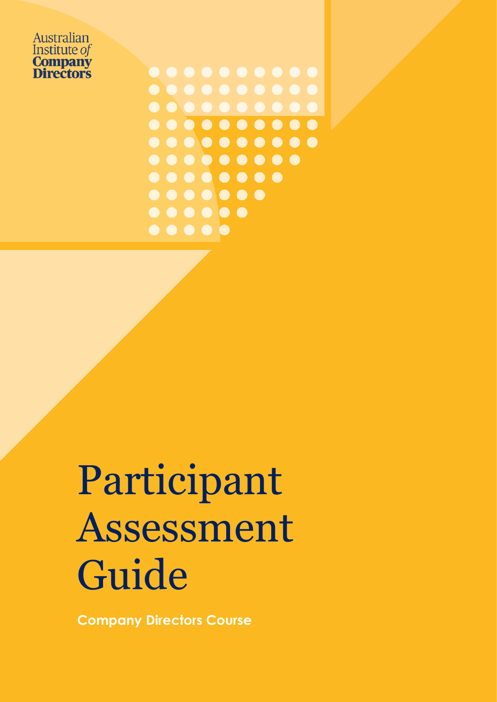Australian Institute of **Company Directors** 

 $0 0 0 0 0 0 0 0 0 0$  $\bullet$  $0 0 0 0 0 0 0 0 0 0 0$  $0 0 0 0 0 0 0 0 0 0$  $0 0 0 0 0 0 0 0$  $\bullet$  $\begin{array}{ccccccccccccccccc} \bullet & \bullet & \bullet & \bullet & \bullet & \bullet & \bullet & \bullet \end{array}$  $\bullet\bullet\bullet\bullet\bullet$  $\bullet\bullet\bullet\bullet\bullet$ 

# Participant Assessment Guide

**Company Directors Course**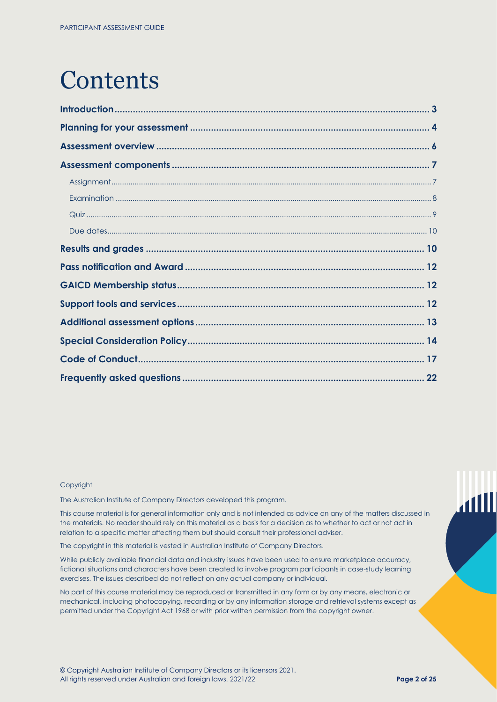## **Contents**

#### Copyright

The Australian Institute of Company Directors developed this program.

This course material is for general information only and is not intended as advice on any of the matters discussed in the materials. No reader should rely on this material as a basis for a decision as to whether to act or not act in relation to a specific matter affecting them but should consult their professional adviser.

The copyright in this material is vested in Australian Institute of Company Directors.

While publicly available financial data and industry issues have been used to ensure marketplace accuracy, fictional situations and characters have been created to involve program participants in case-study learning exercises. The issues described do not reflect on any actual company or individual.

No part of this course material may be reproduced or transmitted in any form or by any means, electronic or mechanical, including photocopying, recording or by any information storage and retrieval systems except as permitted under the Copyright Act 1968 or with prior written permission from the copyright owner.

 $\mathbf{1}$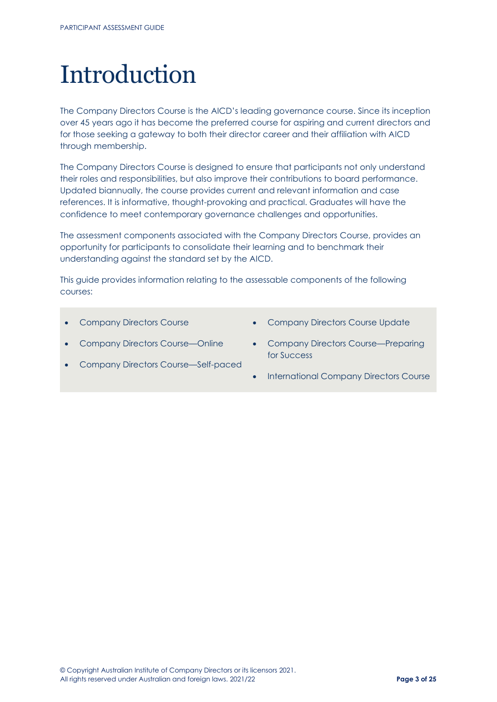## <span id="page-2-0"></span>Introduction

The Company Directors Course is the AICD's leading governance course. Since its inception over 45 years ago it has become the preferred course for aspiring and current directors and for those seeking a gateway to both their director career and their affiliation with AICD through membership.

The Company Directors Course is designed to ensure that participants not only understand their roles and responsibilities, but also improve their contributions to board performance. Updated biannually, the course provides current and relevant information and case references. It is informative, thought-provoking and practical. Graduates will have the confidence to meet contemporary governance challenges and opportunities.

The assessment components associated with the Company Directors Course, provides an opportunity for participants to consolidate their learning and to benchmark their understanding against the standard set by the AICD.

This guide provides information relating to the assessable components of the following courses:

- Company Directors Course
- Company Directors Course Update
- Company Directors Course—Online
- Company Directors Course—Preparing for Success
- Company Directors Course—Self-paced
- International Company Directors Course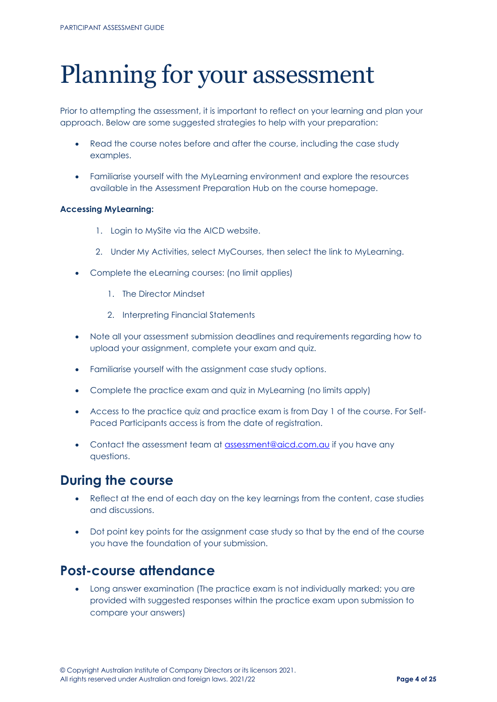## <span id="page-3-0"></span>Planning for your assessment

Prior to attempting the assessment, it is important to reflect on your learning and plan your approach. Below are some suggested strategies to help with your preparation:

- Read the course notes before and after the course, including the case study examples.
- Familiarise yourself with the MyLearning environment and explore the resources available in the Assessment Preparation Hub on the course homepage.

## **Accessing MyLearning:**

- 1. Login to MySite via the AICD website.
- 2. Under My Activities, select MyCourses, then select the link to MyLearning.
- Complete the eLearning courses: (no limit applies)
	- 1. The Director Mindset
	- 2. Interpreting Financial Statements
- Note all your assessment submission deadlines and requirements regarding how to upload your assignment, complete your exam and quiz.
- Familiarise yourself with the assignment case study options.
- Complete the practice exam and quiz in MyLearning (no limits apply)
- Access to the practice quiz and practice exam is from Day 1 of the course. For Self-Paced Participants access is from the date of registration.
- Contact the assessment team at [assessment@aicd.com.au](mailto:assessment@aicd.com.au) if you have any questions.

## **During the course**

- Reflect at the end of each day on the key learnings from the content, case studies and discussions.
- Dot point key points for the assignment case study so that by the end of the course you have the foundation of your submission.

## **Post-course attendance**

• Long answer examination (The practice exam is not individually marked; you are provided with suggested responses within the practice exam upon submission to compare your answers)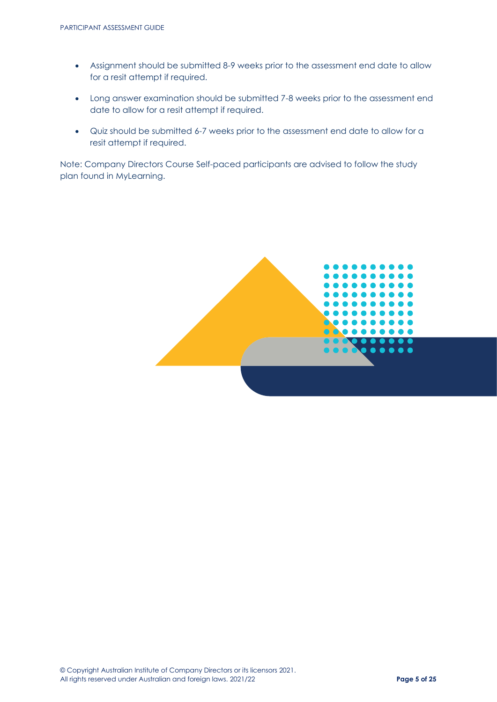- Assignment should be submitted 8-9 weeks prior to the assessment end date to allow for a resit attempt if required.
- Long answer examination should be submitted 7-8 weeks prior to the assessment end date to allow for a resit attempt if required.
- Quiz should be submitted 6-7 weeks prior to the assessment end date to allow for a resit attempt if required.

Note: Company Directors Course Self-paced participants are advised to follow the study plan found in MyLearning.

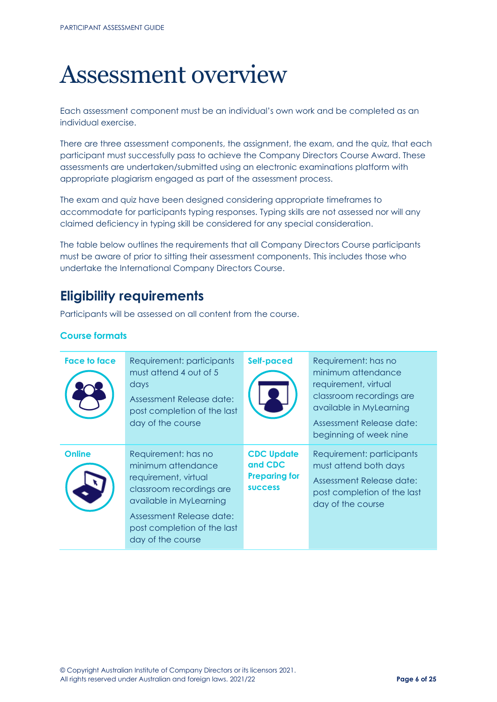## <span id="page-5-0"></span>Assessment overview

Each assessment component must be an individual's own work and be completed as an individual exercise.

There are three assessment components, the assignment, the exam, and the quiz, that each participant must successfully pass to achieve the Company Directors Course Award. These assessments are undertaken/submitted using an electronic examinations platform with appropriate plagiarism engaged as part of the assessment process.

The exam and quiz have been designed considering appropriate timeframes to accommodate for participants typing responses. Typing skills are not assessed nor will any claimed deficiency in typing skill be considered for any special consideration.

The table below outlines the requirements that all Company Directors Course participants must be aware of prior to sitting their assessment components. This includes those who undertake the International Company Directors Course.

## **Eligibility requirements**

Participants will be assessed on all content from the course.

## **Course formats**

| Face to face  | Requirement: participants<br>must attend 4 out of 5<br>days<br>Assessment Release date:<br>post completion of the last<br>day of the course                                                              | <b>Self-paced</b>                                                      | Requirement: has no<br>minimum attendance<br>requirement, virtual<br>classroom recordings are<br>available in MyLearning<br>Assessment Release date:<br>beginning of week nine |
|---------------|----------------------------------------------------------------------------------------------------------------------------------------------------------------------------------------------------------|------------------------------------------------------------------------|--------------------------------------------------------------------------------------------------------------------------------------------------------------------------------|
| <b>Online</b> | Requirement: has no<br>minimum attendance<br>requirement, virtual<br>classroom recordings are<br>available in MyLearning<br>Assessment Release date:<br>post completion of the last<br>day of the course | <b>CDC Update</b><br>and CDC<br><b>Preparing for</b><br><b>SUCCESS</b> | Requirement: participants<br>must attend both days<br>Assessment Release date:<br>post completion of the last<br>day of the course                                             |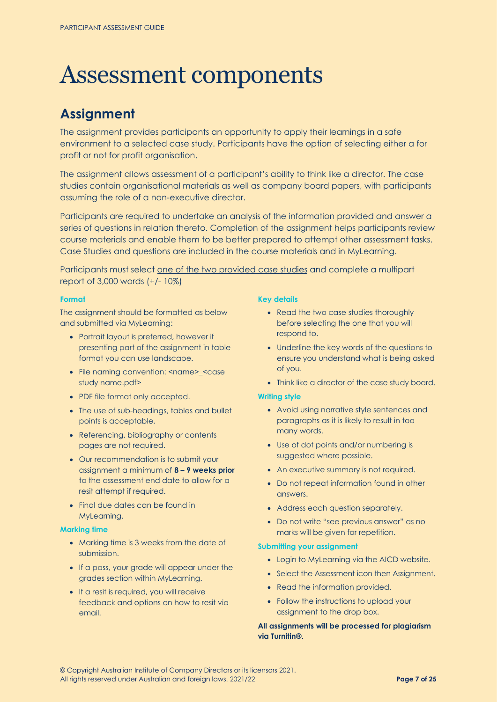## <span id="page-6-0"></span>Assessment components

## <span id="page-6-1"></span>**Assignment**

The assignment provides participants an opportunity to apply their learnings in a safe environment to a selected case study. Participants have the option of selecting either a for profit or not for profit organisation.

The assignment allows assessment of a participant's ability to think like a director. The case studies contain organisational materials as well as company board papers, with participants assuming the role of a non-executive director.

Participants are required to undertake an analysis of the information provided and answer a series of questions in relation thereto. Completion of the assignment helps participants review course materials and enable them to be better prepared to attempt other assessment tasks. Case Studies and questions are included in the course materials and in MyLearning.

Participants must select one of the two provided case studies and complete a multipart report of 3,000 words (+/- 10%)

### **Format**

The assignment should be formatted as below and submitted via MyLearning:

- Portrait layout is preferred, however if presenting part of the assignment in table format you can use landscape.
- File naming convention: <name>\_<case study name.pdf>
- PDF file format only accepted.
- The use of sub-headings, tables and bullet points is acceptable.
- Referencing, bibliography or contents pages are not required.
- Our recommendation is to submit your assignment a minimum of **8 – 9 weeks prior**  to the assessment end date to allow for a resit attempt if required.
- Final due dates can be found in MyLearning.

### **Marking time**

- Marking time is 3 weeks from the date of submission.
- If a pass, your grade will appear under the grades section within MyLearning.
- If a resit is required, you will receive feedback and options on how to resit via email.

## **Key details**

- Read the two case studies thoroughly before selecting the one that you will respond to.
- Underline the key words of the questions to ensure you understand what is being asked of you.
- Think like a director of the case study board.

## **Writing style**

- Avoid using narrative style sentences and paragraphs as it is likely to result in too many words.
- Use of dot points and/or numbering is suggested where possible.
- An executive summary is not required.
- Do not repeat information found in other answers.
- Address each question separately.
- Do not write "see previous answer" as no marks will be given for repetition.

## **Submitting your assignment**

- Login to MyLearning via the AICD website.
- Select the Assessment icon then Assignment.
- Read the information provided.
- Follow the instructions to upload your assignment to the drop box.

**All assignments will be processed for plagiarism via Turnitin®.**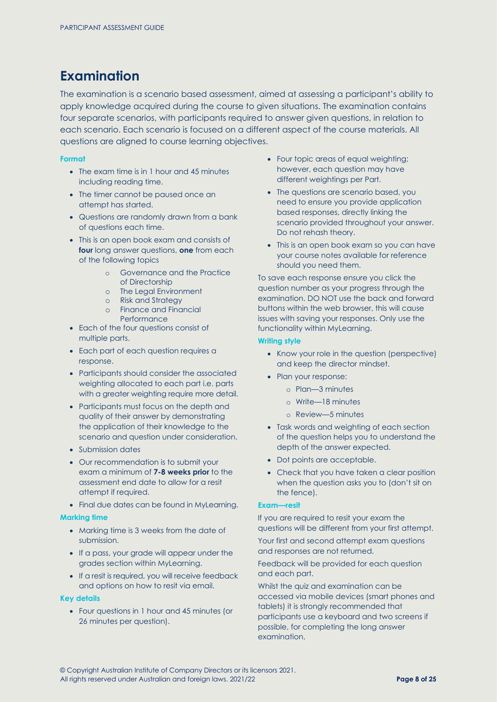## <span id="page-7-0"></span>**Examination**

The examination is a scenario based assessment, aimed at assessing a participant's ability to apply knowledge acquired during the course to given situations. The examination contains four separate scenarios, with participants required to answer given questions, in relation to each scenario. Each scenario is focused on a different aspect of the course materials. All questions are aligned to course learning objectives.

#### **Format**

- The exam time is in 1 hour and 45 minutes including reading time.
- The timer cannot be paused once an attempt has started.
- Questions are randomly drawn from a bank of questions each time.
- This is an open book exam and consists of **four** long answer questions, **one** from each of the following topics
	- o Governance and the Practice of Directorship
	- o The Legal Environment
	- o Risk and Strategy
	- o Finance and Financial **Performance**
- Each of the four questions consist of multiple parts.
- Each part of each question requires a response.
- Participants should consider the associated weighting allocated to each part i.e. parts with a greater weighting require more detail.
- Participants must focus on the depth and quality of their answer by demonstrating the application of their knowledge to the scenario and question under consideration.
- Submission dates
- Our recommendation is to submit your exam a minimum of **7-8 weeks prior** to the assessment end date to allow for a resit attempt if required.
- Final due dates can be found in MyLearning.

#### **Marking time**

- Marking time is 3 weeks from the date of submission.
- If a pass, your grade will appear under the grades section within MyLearning.
- If a resit is required, you will receive feedback and options on how to resit via email.

#### **Key details**

• Four questions in 1 hour and 45 minutes (or 26 minutes per question).

- Four topic areas of equal weighting; however, each question may have different weightings per Part.
- The questions are scenario based, you need to ensure you provide application based responses, directly linking the scenario provided throughout your answer. Do not rehash theory.
- This is an open book exam so you can have your course notes available for reference should you need them.

To save each response ensure you click the question number as your progress through the examination. DO NOT use the back and forward buttons within the web browser, this will cause issues with saving your responses. Only use the functionality within MyLearning.

#### **Writing style**

- Know your role in the question (perspective) and keep the director mindset.
- Plan your response:
	- o Plan—3 minutes
	- o Write—18 minutes
	- o Review—5 minutes
- Task words and weighting of each section of the question helps you to understand the depth of the answer expected.
- Dot points are acceptable.
- Check that you have taken a clear position when the question asks you to (don't sit on the fence).

#### **Exam—resit**

If you are required to resit your exam the questions will be different from your first attempt.

Your first and second attempt exam questions and responses are not returned.

Feedback will be provided for each question and each part.

Whilst the quiz and examination can be accessed via mobile devices (smart phones and tablets) it is strongly recommended that participants use a keyboard and two screens if possible, for completing the long answer examination.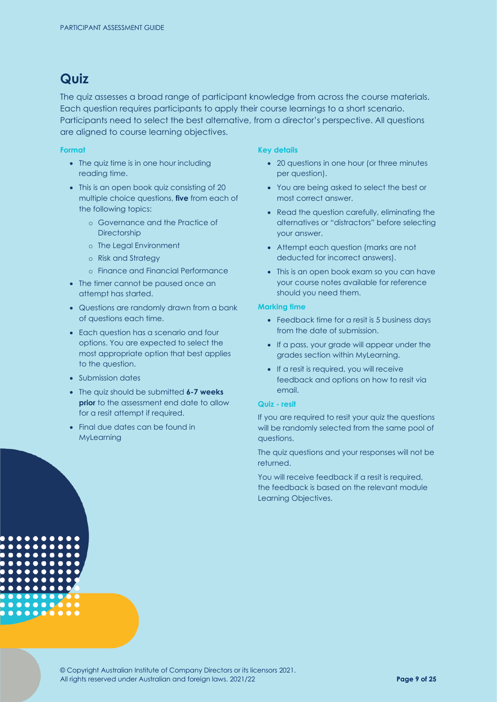## <span id="page-8-0"></span>**Quiz**

The quiz assesses a broad range of participant knowledge from across the course materials. Each question requires participants to apply their course learnings to a short scenario. Participants need to select the best alternative, from a director's perspective. All questions are aligned to course learning objectives.

#### **Format**

- The quiz time is in one hour including reading time.
- This is an open book quiz consisting of 20 multiple choice questions, **five** from each of the following topics:
	- o Governance and the Practice of **Directorship**
	- o The Legal Environment
	- o Risk and Strategy
	- o Finance and Financial Performance
- The timer cannot be paused once an attempt has started.
- Questions are randomly drawn from a bank of questions each time.
- Each question has a scenario and four options. You are expected to select the most appropriate option that best applies to the question.
- Submission dates

 $0.000000$ 

- The quiz should be submitted **6-7 weeks prior** to the assessment end date to allow for a resit attempt if required.
- Final due dates can be found in MyLearning

### **Key details**

- 20 questions in one hour (or three minutes per question).
- You are being asked to select the best or most correct answer.
- Read the question carefully, eliminating the alternatives or "distractors" before selecting your answer.
- Attempt each question (marks are not deducted for incorrect answers).
- This is an open book exam so you can have your course notes available for reference should you need them.

#### **Marking time**

- Feedback time for a resit is 5 business days from the date of submission.
- If a pass, your grade will appear under the grades section within MyLearning.
- If a resit is required, you will receive feedback and options on how to resit via email.

#### **Quiz - resit**

If you are required to resit your quiz the questions will be randomly selected from the same pool of questions.

The quiz questions and your responses will not be returned.

You will receive feedback if a resit is required, the feedback is based on the relevant module Learning Objectives.

© Copyright Australian Institute of Company Directors or its licensors 2021. All rights reserved under Australian and foreign laws. 2021/22 **Page 9 of 25**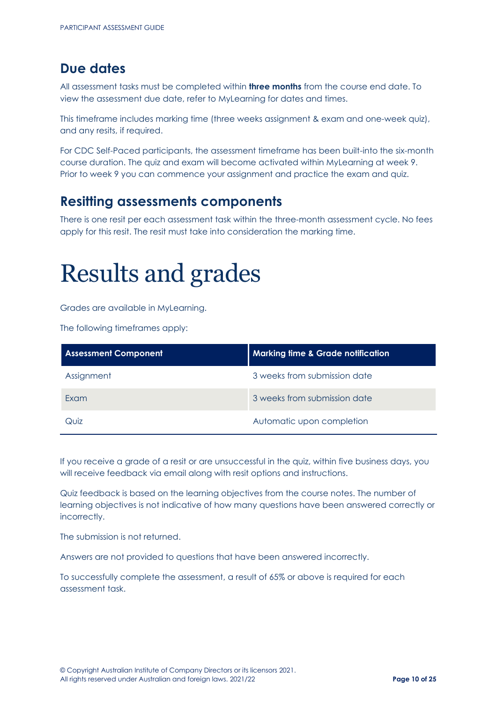## <span id="page-9-0"></span>**Due dates**

All assessment tasks must be completed within **three months** from the course end date. To view the assessment due date, refer to MyLearning for dates and times.

This timeframe includes marking time (three weeks assignment & exam and one-week quiz), and any resits, if required.

For CDC Self-Paced participants, the assessment timeframe has been built-into the six-month course duration. The quiz and exam will become activated within MyLearning at week 9. Prior to week 9 you can commence your assignment and practice the exam and quiz.

## **Resitting assessments components**

There is one resit per each assessment task within the three-month assessment cycle. No fees apply for this resit. The resit must take into consideration the marking time.

## <span id="page-9-1"></span>Results and grades

Grades are available in MyLearning.

The following timeframes apply:

| <b>Assessment Component</b> | <b>Marking time &amp; Grade notification</b> |
|-----------------------------|----------------------------------------------|
| Assignment                  | 3 weeks from submission date                 |
| <b>Exam</b>                 | 3 weeks from submission date                 |
| Quiz                        | Automatic upon completion                    |

If you receive a grade of a resit or are unsuccessful in the quiz, within five business days, you will receive feedback via email along with resit options and instructions.

Quiz feedback is based on the learning objectives from the course notes. The number of learning objectives is not indicative of how many questions have been answered correctly or incorrectly.

The submission is not returned.

Answers are not provided to questions that have been answered incorrectly.

To successfully complete the assessment, a result of 65% or above is required for each assessment task.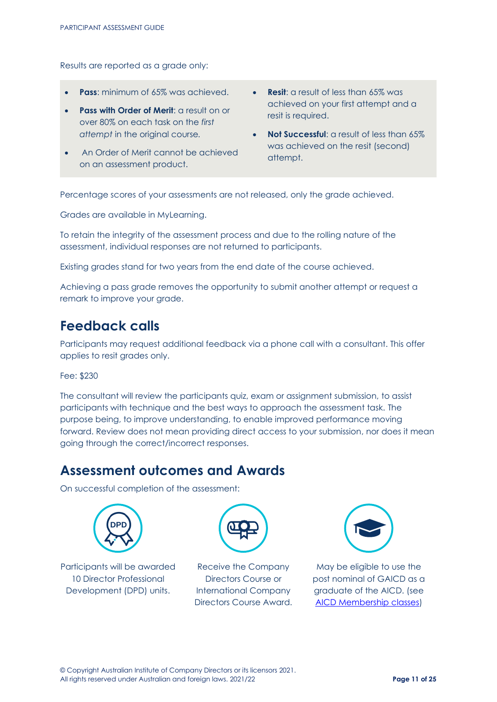Results are reported as a grade only:

- **Pass**: minimum of 65% was achieved.
- **Pass with Order of Merit: a result on or** over 80% on each task on the *first attempt* in the original course*.*
- An Order of Merit cannot be achieved on an assessment product.
- **Resit**: a result of less than 65% was achieved on your first attempt and a resit is required.
- **Not Successful**: a result of less than 65% was achieved on the resit (second) attempt.

Percentage scores of your assessments are not released, only the grade achieved.

Grades are available in MyLearning.

To retain the integrity of the assessment process and due to the rolling nature of the assessment, individual responses are not returned to participants.

Existing grades stand for two years from the end date of the course achieved.

Achieving a pass grade removes the opportunity to submit another attempt or request a remark to improve your grade.

## **Feedback calls**

Participants may request additional feedback via a phone call with a consultant. This offer applies to resit grades only.

Fee: \$230

The consultant will review the participants quiz, exam or assignment submission, to assist participants with technique and the best ways to approach the assessment task. The purpose being, to improve understanding, to enable improved performance moving forward. Review does not mean providing direct access to your submission, nor does it mean going through the correct/incorrect responses.

## **Assessment outcomes and Awards**

On successful completion of the assessment:



Participants will be awarded 10 Director Professional Development (DPD) units.



Receive the Company Directors Course or International Company Directors Course Award.



May be eligible to use the post nominal of GAICD as a graduate of the AICD. (see [AICD Membership classes\)](https://aicd.companydirectors.com.au/membership)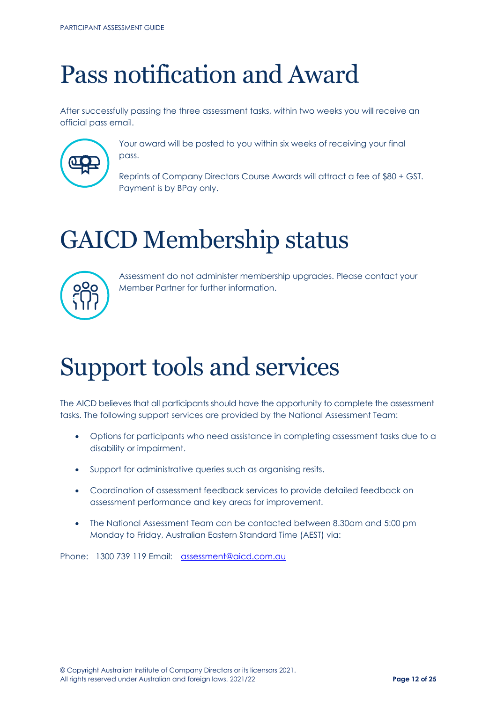## <span id="page-11-0"></span>Pass notification and Award

After successfully passing the three assessment tasks, within two weeks you will receive an official pass email.



Your award will be posted to you within six weeks of receiving your final pass.

Reprints of Company Directors Course Awards will attract a fee of \$80 + GST. Payment is by BPay only.

## <span id="page-11-1"></span>GAICD Membership status



Assessment do not administer membership upgrades. Please contact your Member Partner for further information.

## <span id="page-11-2"></span>Support tools and services

The AICD believes that all participants should have the opportunity to complete the assessment tasks. The following support services are provided by the National Assessment Team:

- Options for participants who need assistance in completing assessment tasks due to a disability or impairment.
- Support for administrative queries such as organising resits.
- Coordination of assessment feedback services to provide detailed feedback on assessment performance and key areas for improvement.
- The National Assessment Team can be contacted between 8.30am and 5:00 pm Monday to Friday, Australian Eastern Standard Time (AEST) via:

Phone: 1300 739 119 Email: [assessment@aicd.com.au](mailto:assessment@aicd.com.au)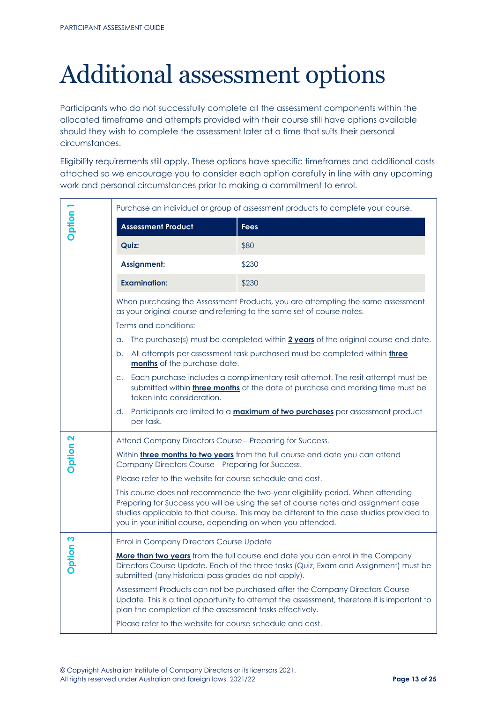## <span id="page-12-0"></span>Additional assessment options

Participants who do not successfully complete all the assessment components within the allocated timeframe and attempts provided with their course still have options available should they wish to complete the assessment later at a time that suits their personal circumstances.

Eligibility requirements still apply. These options have specific timeframes and additional costs attached so we encourage you to consider each option carefully in line with any upcoming work and personal circumstances prior to making a commitment to enrol.

|                 | Purchase an individual or group of assessment products to complete your course.                                                                                                                                                                                                                                                   |                                                                                                                                                                            |  |
|-----------------|-----------------------------------------------------------------------------------------------------------------------------------------------------------------------------------------------------------------------------------------------------------------------------------------------------------------------------------|----------------------------------------------------------------------------------------------------------------------------------------------------------------------------|--|
| Dption 1        | <b>Assessment Product</b>                                                                                                                                                                                                                                                                                                         | <b>Fees</b>                                                                                                                                                                |  |
|                 | Quiz:                                                                                                                                                                                                                                                                                                                             | \$80                                                                                                                                                                       |  |
|                 | <b>Assignment:</b>                                                                                                                                                                                                                                                                                                                | \$230                                                                                                                                                                      |  |
|                 | <b>Examination:</b>                                                                                                                                                                                                                                                                                                               | \$230                                                                                                                                                                      |  |
|                 | When purchasing the Assessment Products, you are attempting the same assessment<br>as your original course and referring to the same set of course notes.                                                                                                                                                                         |                                                                                                                                                                            |  |
|                 | Terms and conditions:                                                                                                                                                                                                                                                                                                             |                                                                                                                                                                            |  |
|                 | The purchase(s) must be completed within 2 years of the original course end date.<br>a.                                                                                                                                                                                                                                           |                                                                                                                                                                            |  |
|                 | All attempts per assessment task purchased must be completed within <i>three</i><br>b.<br>months of the purchase date.                                                                                                                                                                                                            |                                                                                                                                                                            |  |
|                 | Each purchase includes a complimentary resit attempt. The resit attempt must be<br>$C_{\star}$<br>submitted within <i>three months</i> of the date of purchase and marking time must be<br>taken into consideration.                                                                                                              |                                                                                                                                                                            |  |
|                 | d.<br>per task.                                                                                                                                                                                                                                                                                                                   | Participants are limited to a <b>maximum of two purchases</b> per assessment product                                                                                       |  |
|                 | Attend Company Directors Course-Preparing for Success.                                                                                                                                                                                                                                                                            |                                                                                                                                                                            |  |
| Dation          | Within <i>three months to two years</i> from the full course end date you can attend<br>Company Directors Course-Preparing for Success.                                                                                                                                                                                           |                                                                                                                                                                            |  |
|                 | Please refer to the website for course schedule and cost.                                                                                                                                                                                                                                                                         |                                                                                                                                                                            |  |
|                 | This course does not recommence the two-year eligibility period. When attending<br>Preparing for Success you will be using the set of course notes and assignment case<br>studies applicable to that course. This may be different to the case studies provided to<br>you in your initial course, depending on when you attended. |                                                                                                                                                                            |  |
|                 | Enrol in Company Directors Course Update                                                                                                                                                                                                                                                                                          |                                                                                                                                                                            |  |
| <b>Option 3</b> | More than two years from the full course end date you can enrol in the Company<br>Directors Course Update. Each of the three tasks (Quiz, Exam and Assignment) must be<br>submitted (any historical pass grades do not apply).                                                                                                    |                                                                                                                                                                            |  |
|                 | plan the completion of the assessment tasks effectively.                                                                                                                                                                                                                                                                          | Assessment Products can not be purchased after the Company Directors Course<br>Update. This is a final opportunity to attempt the assessment, therefore it is important to |  |
|                 | Please refer to the website for course schedule and cost.                                                                                                                                                                                                                                                                         |                                                                                                                                                                            |  |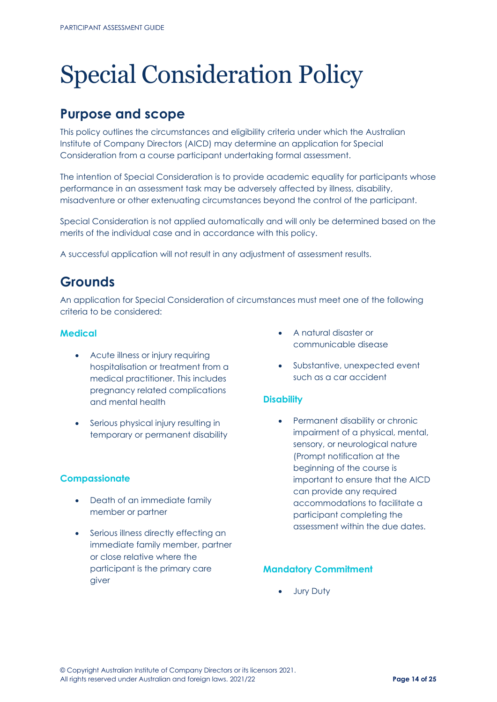## <span id="page-13-0"></span>Special Consideration Policy

## **Purpose and scope**

This policy outlines the circumstances and eligibility criteria under which the Australian Institute of Company Directors (AICD) may determine an application for Special Consideration from a course participant undertaking formal assessment.

The intention of Special Consideration is to provide academic equality for participants whose performance in an assessment task may be adversely affected by illness, disability, misadventure or other extenuating circumstances beyond the control of the participant.

Special Consideration is not applied automatically and will only be determined based on the merits of the individual case and in accordance with this policy.

A successful application will not result in any adjustment of assessment results.

## **Grounds**

An application for Special Consideration of circumstances must meet one of the following criteria to be considered:

## **Medical**

- Acute illness or injury requiring hospitalisation or treatment from a medical practitioner. This includes pregnancy related complications and mental health
- Serious physical injury resulting in temporary or permanent disability

## **Compassionate**

- Death of an immediate family member or partner
- Serious illness directly effecting an immediate family member, partner or close relative where the participant is the primary care giver
- A natural disaster or communicable disease
- Substantive, unexpected event such as a car accident

## **Disability**

Permanent disability or chronic impairment of a physical, mental, sensory, or neurological nature (Prompt notification at the beginning of the course is important to ensure that the AICD can provide any required accommodations to facilitate a participant completing the assessment within the due dates.

## **Mandatory Commitment**

• Jury Duty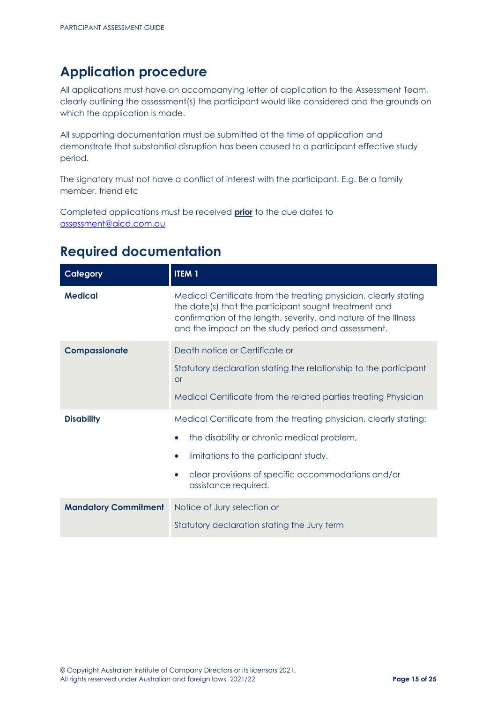## **Application procedure**

All applications must have an accompanying letter of application to the Assessment Team, clearly outlining the assessment(s) the participant would like considered and the grounds on which the application is made.

All supporting documentation must be submitted at the time of application and demonstrate that substantial disruption has been caused to a participant effective study period.

The signatory must not have a conflict of interest with the participant. E.g. Be a family member, friend etc

Completed applications must be received **prior** to the due dates to [assessment@aicd.com.au](mailto:assessment@aicd.com.au)

## **Required documentation**

| Category                    | <b>ITEM1</b>                                                                                                                                                                                                                                       |
|-----------------------------|----------------------------------------------------------------------------------------------------------------------------------------------------------------------------------------------------------------------------------------------------|
| <b>Medical</b>              | Medical Certificate from the treating physician, clearly stating<br>the date(s) that the participant sought treatment and<br>confirmation of the length, severity, and nature of the Illness<br>and the impact on the study period and assessment. |
| Compassionate               | Death notice or Certificate or<br>Statutory declaration stating the relationship to the participant<br><b>or</b><br>Medical Certificate from the related parties treating Physician                                                                |
| <b>Disability</b>           | Medical Certificate from the treating physician, clearly stating:<br>the disability or chronic medical problem,<br>limitations to the participant study,<br>clear provisions of specific accommodations and/or<br>assistance required.             |
| <b>Mandatory Commitment</b> | Notice of Jury selection or<br>Statutory declaration stating the Jury term                                                                                                                                                                         |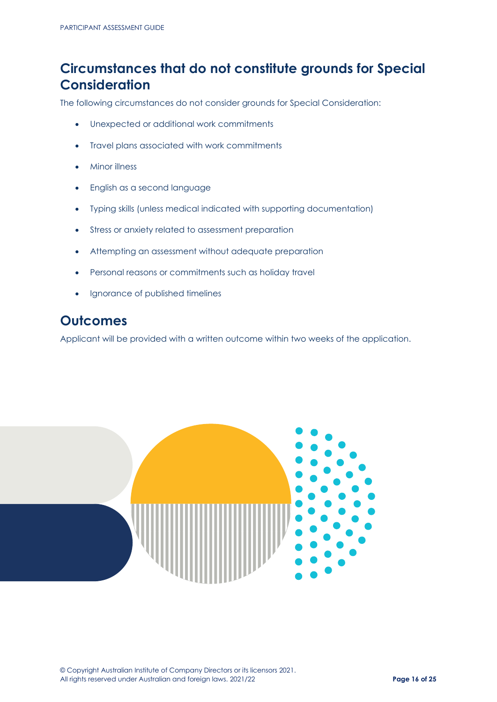## **Circumstances that do not constitute grounds for Special Consideration**

The following circumstances do not consider grounds for Special Consideration:

- Unexpected or additional work commitments
- Travel plans associated with work commitments
- Minor illness
- English as a second language
- Typing skills (unless medical indicated with supporting documentation)
- Stress or anxiety related to assessment preparation
- Attempting an assessment without adequate preparation
- Personal reasons or commitments such as holiday travel
- Ignorance of published timelines

## **Outcomes**

Applicant will be provided with a written outcome within two weeks of the application.

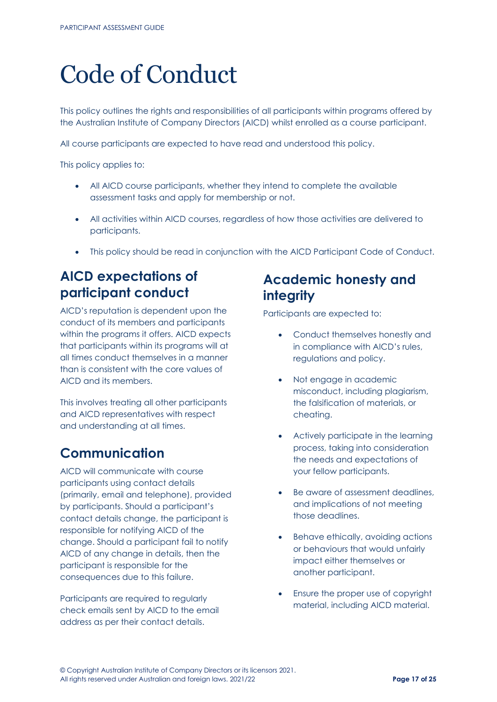## <span id="page-16-0"></span>Code of Conduct

This policy outlines the rights and responsibilities of all participants within programs offered by the Australian Institute of Company Directors (AICD) whilst enrolled as a course participant.

All course participants are expected to have read and understood this policy.

This policy applies to:

- All AICD course participants, whether they intend to complete the available assessment tasks and apply for membership or not.
- All activities within AICD courses, regardless of how those activities are delivered to participants.
- This policy should be read in conjunction with the AICD Participant Code of Conduct.

## **AICD expectations of participant conduct**

AICD's reputation is dependent upon the conduct of its members and participants within the programs it offers. AICD expects that participants within its programs will at all times conduct themselves in a manner than is consistent with the core values of AICD and its members.

This involves treating all other participants and AICD representatives with respect and understanding at all times.

## **Communication**

AICD will communicate with course participants using contact details (primarily, email and telephone), provided by participants. Should a participant's contact details change, the participant is responsible for notifying AICD of the change. Should a participant fail to notify AICD of any change in details, then the participant is responsible for the consequences due to this failure.

Participants are required to regularly check emails sent by AICD to the email address as per their contact details.

## **Academic honesty and integrity**

Participants are expected to:

- Conduct themselves honestly and in compliance with AICD's rules, regulations and policy.
- Not engage in academic misconduct, including plagiarism, the falsification of materials, or cheating.
- Actively participate in the learning process, taking into consideration the needs and expectations of your fellow participants.
- Be aware of assessment deadlines. and implications of not meeting those deadlines.
- Behave ethically, avoiding actions or behaviours that would unfairly impact either themselves or another participant.
- Ensure the proper use of copyright material, including AICD material.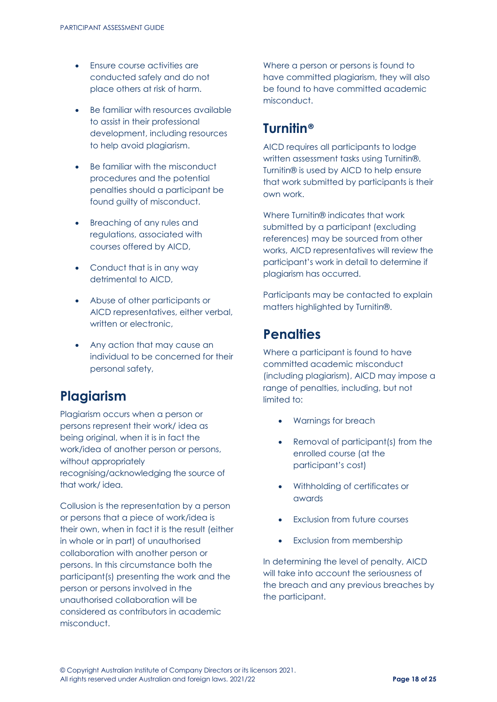- Ensure course activities are conducted safely and do not place others at risk of harm.
- Be familiar with resources available to assist in their professional development, including resources to help avoid plagiarism.
- Be familiar with the misconduct procedures and the potential penalties should a participant be found guilty of misconduct.
- Breaching of any rules and regulations, associated with courses offered by AICD,
- Conduct that is in any way detrimental to AICD,
- Abuse of other participants or AICD representatives, either verbal, written or electronic.
- Any action that may cause an individual to be concerned for their personal safety,

## **Plagiarism**

Plagiarism occurs when a person or persons represent their work/ idea as being original, when it is in fact the work/idea of another person or persons, without appropriately recognising/acknowledging the source of that work/ idea.

Collusion is the representation by a person or persons that a piece of work/idea is their own, when in fact it is the result (either in whole or in part) of unauthorised collaboration with another person or persons. In this circumstance both the participant(s) presenting the work and the person or persons involved in the unauthorised collaboration will be considered as contributors in academic misconduct.

Where a person or persons is found to have committed plagiarism, they will also be found to have committed academic misconduct.

## **Turnitin®**

AICD requires all participants to lodge written assessment tasks using Turnitin®. Turnitin® is used by AICD to help ensure that work submitted by participants is their own work.

Where Turnitin® indicates that work submitted by a participant (excluding references) may be sourced from other works, AICD representatives will review the participant's work in detail to determine if plagiarism has occurred.

Participants may be contacted to explain matters highlighted by Turnitin®.

## **Penalties**

Where a participant is found to have committed academic misconduct (including plagiarism), AICD may impose a range of penalties, including, but not limited to:

- Warnings for breach
- Removal of participant(s) from the enrolled course (at the participant's cost)
- Withholding of certificates or awards
- **Exclusion from future courses**
- Exclusion from membership

In determining the level of penalty, AICD will take into account the seriousness of the breach and any previous breaches by the participant.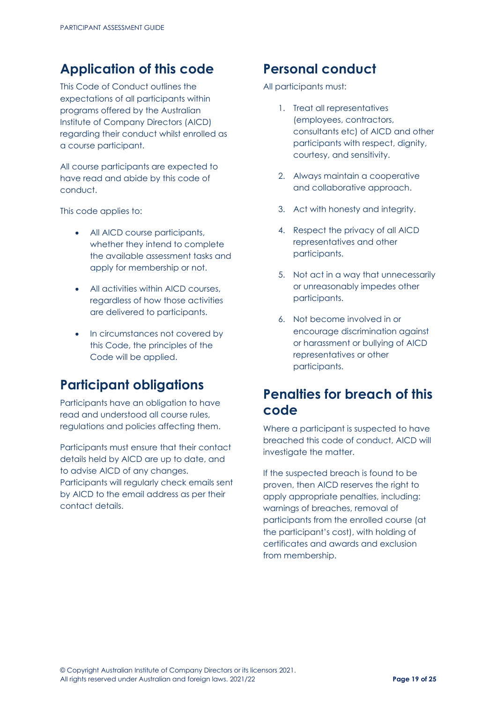## **Application of this code**

This Code of Conduct outlines the expectations of all participants within programs offered by the Australian Institute of Company Directors (AICD) regarding their conduct whilst enrolled as a course participant.

All course participants are expected to have read and abide by this code of conduct.

This code applies to:

- All AICD course participants, whether they intend to complete the available assessment tasks and apply for membership or not.
- All activities within AICD courses. regardless of how those activities are delivered to participants.
- In circumstances not covered by this Code, the principles of the Code will be applied.

## **Participant obligations**

Participants have an obligation to have read and understood all course rules, regulations and policies affecting them.

Participants must ensure that their contact details held by AICD are up to date, and to advise AICD of any changes. Participants will regularly check emails sent by AICD to the email address as per their contact details.

## **Personal conduct**

All participants must:

- 1. Treat all representatives (employees, contractors, consultants etc) of AICD and other participants with respect, dignity, courtesy, and sensitivity.
- 2. Always maintain a cooperative and collaborative approach.
- 3. Act with honesty and integrity.
- 4. Respect the privacy of all AICD representatives and other participants.
- 5. Not act in a way that unnecessarily or unreasonably impedes other participants.
- 6. Not become involved in or encourage discrimination against or harassment or bullying of AICD representatives or other participants.

## **Penalties for breach of this code**

Where a participant is suspected to have breached this code of conduct, AICD will investigate the matter.

If the suspected breach is found to be proven, then AICD reserves the right to apply appropriate penalties, including: warnings of breaches, removal of participants from the enrolled course (at the participant's cost), with holding of certificates and awards and exclusion from membership.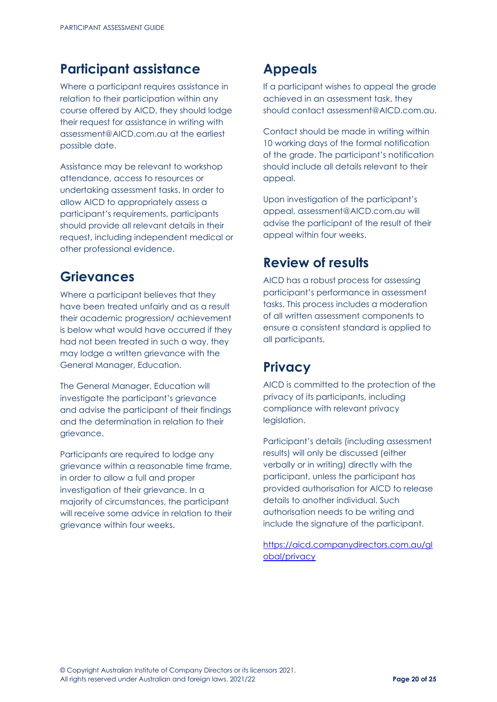## **Participant assistance**

Where a participant requires assistance in relation to their participation within any course offered by AICD, they should lodge their request for assistance in writing with [assessment@AICD.com.au](http://oursite/EDU/delivery/Assessment/assessment%40AICD.com.au) at the earliest possible date.

Assistance may be relevant to workshop attendance, access to resources or undertaking assessment tasks. In order to allow AICD to appropriately assess a participant's requirements, participants should provide all relevant details in their request, including independent medical or other professional evidence.

## **Grievances**

Where a participant believes that they have been treated unfairly and as a result their academic progression/ achievement is below what would have occurred if they had not been treated in such a way, they may lodge a written grievance with the General Manager, Education.

The General Manager, Education will investigate the participant's grievance and advise the participant of their findings and the determination in relation to their grievance.

Participants are required to lodge any grievance within a reasonable time frame, in order to allow a full and proper investigation of their grievance. In a majority of circumstances, the participant will receive some advice in relation to their grievance within four weeks.

## **Appeals**

If a participant wishes to appeal the grade achieved in an assessment task, they should contact [assessment@AICD.com.au.](http://oursite/EDU/delivery/Assessment/assessment%40AICD.com.au)

Contact should be made in writing within 10 working days of the formal notification of the grade. The participant's notification should include all details relevant to their appeal.

Upon investigation of the participant's appeal[, assessment@AICD.com.au w](http://oursite/EDU/delivery/Assessment/assessment%40AICD.com.au)ill advise the participant of the result of their appeal within four weeks.

## **Review of results**

AICD has a robust process for assessing participant's performance in assessment tasks. This process includes a moderation of all written assessment components to ensure a consistent standard is applied to all participants.

## **Privacy**

AICD is committed to the protection of the privacy of its participants, including compliance with relevant privacy legislation.

Participant's details (including assessment results) will only be discussed (either verbally or in writing) directly with the participant, unless the participant has provided authorisation for AICD to release details to another individual. Such authorisation needs to be writing and include the signature of the participant.

[https://aicd.companydirectors.com.au/gl](https://aicd.companydirectors.com.au/global/privacy) [obal/privacy](https://aicd.companydirectors.com.au/global/privacy)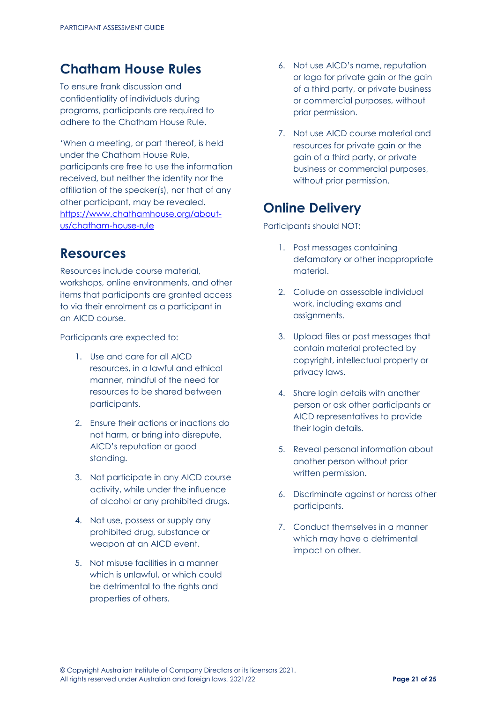## **Chatham House Rules**

To ensure frank discussion and confidentiality of individuals during programs, participants are required to adhere to the Chatham House Rule.

'When a meeting, or part thereof, is held under the Chatham House Rule, participants are free to use the information received, but neither the identity nor the affiliation of the speaker(s), nor that of any other participant, may be revealed. [https://www.chathamhouse.org/about](https://www.chathamhouse.org/about-us/chatham-house-rule)[us/chatham-house-rule](https://www.chathamhouse.org/about-us/chatham-house-rule)

## **Resources**

Resources include course material, workshops, online environments, and other items that participants are granted access to via their enrolment as a participant in an AICD course.

Participants are expected to:

- 1. Use and care for all AICD resources, in a lawful and ethical manner, mindful of the need for resources to be shared between participants.
- 2. Ensure their actions or inactions do not harm, or bring into disrepute, AICD's reputation or good standing.
- 3. Not participate in any AICD course activity, while under the influence of alcohol or any prohibited drugs.
- 4. Not use, possess or supply any prohibited drug, substance or weapon at an AICD event.
- 5. Not misuse facilities in a manner which is unlawful, or which could be detrimental to the rights and properties of others.
- 6. Not use AICD's name, reputation or logo for private gain or the gain of a third party, or private business or commercial purposes, without prior permission.
- 7. Not use AICD course material and resources for private gain or the gain of a third party, or private business or commercial purposes, without prior permission.

## **Online Delivery**

Participants should NOT:

- 1. Post messages containing defamatory or other inappropriate material.
- 2. Collude on assessable individual work, including exams and assignments.
- 3. Upload files or post messages that contain material protected by copyright, intellectual property or privacy laws.
- 4. Share login details with another person or ask other participants or AICD representatives to provide their login details.
- 5. Reveal personal information about another person without prior written permission.
- 6. Discriminate against or harass other participants.
- 7. Conduct themselves in a manner which may have a detrimental impact on other.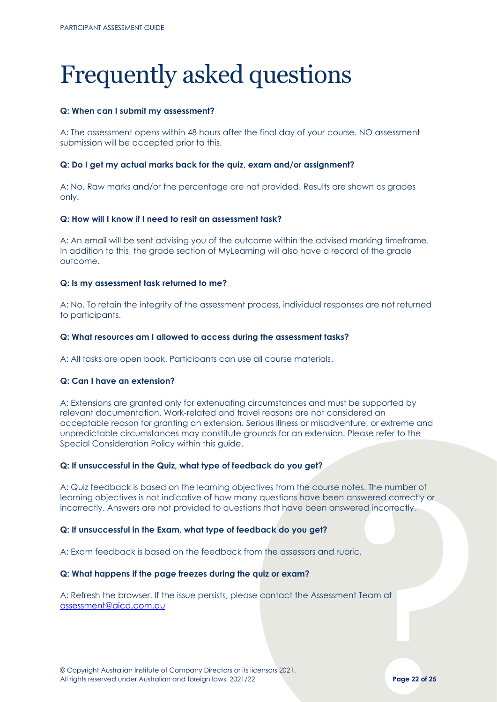## <span id="page-21-0"></span>Frequently asked questions

#### **Q: When can I submit my assessment?**

A: The assessment opens within 48 hours after the final day of your course. NO assessment submission will be accepted prior to this.

#### **Q: Do I get my actual marks back for the quiz, exam and/or assignment?**

A: No. Raw marks and/or the percentage are not provided. Results are shown as grades only.

### **Q: How will I know if I need to resit an assessment task?**

A: An email will be sent advising you of the outcome within the advised marking timeframe. In addition to this, the grade section of MyLearning will also have a record of the grade outcome.

#### **Q: Is my assessment task returned to me?**

A: No. To retain the integrity of the assessment process, individual responses are not returned to participants.

#### **Q: What resources am I allowed to access during the assessment tasks?**

A: All tasks are open book. Participants can use all course materials.

### **Q: Can I have an extension?**

A: Extensions are granted only for extenuating circumstances and must be supported by relevant documentation. Work-related and travel reasons are not considered an acceptable reason for granting an extension. Serious illness or misadventure, or extreme and unpredictable circumstances may constitute grounds for an extension. Please refer to the Special Consideration Policy within this guide.

#### **Q: If unsuccessful in the Quiz, what type of feedback do you get?**

otes. The number of<br>Inswered correctly or<br>Pred incorrectly.<br>This correctly.<br>The Team of Prage 22 of 25 A: Quiz feedback is based on the learning objectives from the course notes. The number of learning objectives is not indicative of how many questions have been answered correctly or incorrectly. Answers are not provided to questions that have been answered incorrectly.

### **Q: If unsuccessful in the Exam, what type of feedback do you get?**

A: Exam feedback is based on the feedback from the assessors and rubric.

### **Q: What happens if the page freezes during the quiz or exam?**

A: Refresh the browser. If the issue persists, please contact the Assessment Team at [assessment@aicd.com.au](mailto:assessment@aicd.com.au)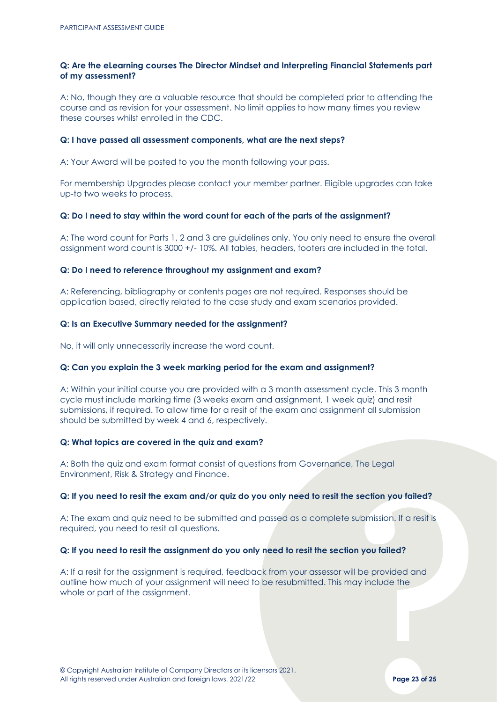### **Q: Are the eLearning courses The Director Mindset and Interpreting Financial Statements part of my assessment?**

A: No, though they are a valuable resource that should be completed prior to attending the course and as revision for your assessment. No limit applies to how many times you review these courses whilst enrolled in the CDC.

#### **Q: I have passed all assessment components, what are the next steps?**

A: Your Award will be posted to you the month following your pass.

For membership Upgrades please contact your member partner. Eligible upgrades can take up-to two weeks to process.

### **Q: Do I need to stay within the word count for each of the parts of the assignment?**

A: The word count for Parts 1, 2 and 3 are guidelines only. You only need to ensure the overall assignment word count is 3000 +/- 10%. All tables, headers, footers are included in the total.

### **Q: Do I need to reference throughout my assignment and exam?**

A: Referencing, bibliography or contents pages are not required. Responses should be application based, directly related to the case study and exam scenarios provided.

### **Q: Is an Executive Summary needed for the assignment?**

No, it will only unnecessarily increase the word count.

#### **Q: Can you explain the 3 week marking period for the exam and assignment?**

A: Within your initial course you are provided with a 3 month assessment cycle. This 3 month cycle must include marking time (3 weeks exam and assignment, 1 week quiz) and resit submissions, if required. To allow time for a resit of the exam and assignment all submission should be submitted by week 4 and 6, respectively.

#### **Q: What topics are covered in the quiz and exam?**

A: Both the quiz and exam format consist of questions from Governance, The Legal Environment, Risk & Strategy and Finance.

#### **Q: If you need to resit the exam and/or quiz do you only need to resit the section you failed?**

A: The exam and quiz need to be submitted and passed as a complete submission. If a resit is required, you need to resit all questions.

#### **Q: If you need to resit the assignment do you only need to resit the section you failed?**

First<br>Submission. If a resit is<br>the provided and<br>ill be provided and<br>ay include the<br>rage 23 of 25<br>Page 23 of 25 A: If a resit for the assignment is required, feedback from your assessor will be provided and outline how much of your assignment will need to be resubmitted. This may include the whole or part of the assignment.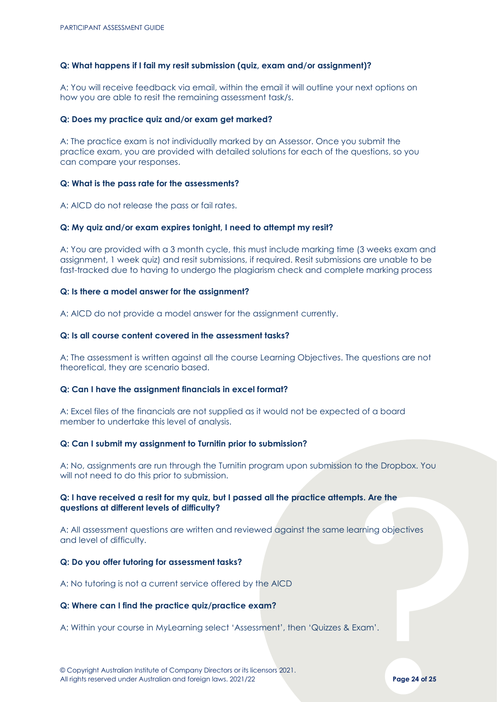#### **Q: What happens if I fail my resit submission (quiz, exam and/or assignment)?**

A: You will receive feedback via email, within the email it will outline your next options on how you are able to resit the remaining assessment task/s.

#### **Q: Does my practice quiz and/or exam get marked?**

A: The practice exam is not individually marked by an Assessor. Once you submit the practice exam, you are provided with detailed solutions for each of the questions, so you can compare your responses.

#### **Q: What is the pass rate for the assessments?**

A: AICD do not release the pass or fail rates.

#### **Q: My quiz and/or exam expires tonight, I need to attempt my resit?**

A: You are provided with a 3 month cycle, this must include marking time (3 weeks exam and assignment, 1 week quiz) and resit submissions, if required. Resit submissions are unable to be fast-tracked due to having to undergo the plagiarism check and complete marking process

#### **Q: Is there a model answer for the assignment?**

A: AICD do not provide a model answer for the assignment currently.

### **Q: Is all course content covered in the assessment tasks?**

A: The assessment is written against all the course Learning Objectives. The questions are not theoretical, they are scenario based.

### **Q: Can I have the assignment financials in excel format?**

A: Excel files of the financials are not supplied as it would not be expected of a board member to undertake this level of analysis.

#### **Q: Can I submit my assignment to Turnitin prior to submission?**

A: No, assignments are run through the Turnitin program upon submission to the Dropbox. You will not need to do this prior to submission.

### **Q: I have received a resit for my quiz, but I passed all the practice attempts. Are the questions at different levels of difficulty?**

pts. Are the<br>earning objectives<br>Exam'.<br>Page 24 of 25 A: All assessment questions are written and reviewed against the same learning objectives and level of difficulty.

#### **Q: Do you offer tutoring for assessment tasks?**

A: No tutoring is not a current service offered by the AICD

#### **Q: Where can I find the practice quiz/practice exam?**

A: Within your course in MyLearning select 'Assessment', then 'Quizzes & Exam'.

© Copyright Australian Institute of Company Directors or its licensors 2021. All rights reserved under Australian and foreign laws. 2021/22 **Page 24 of 25**